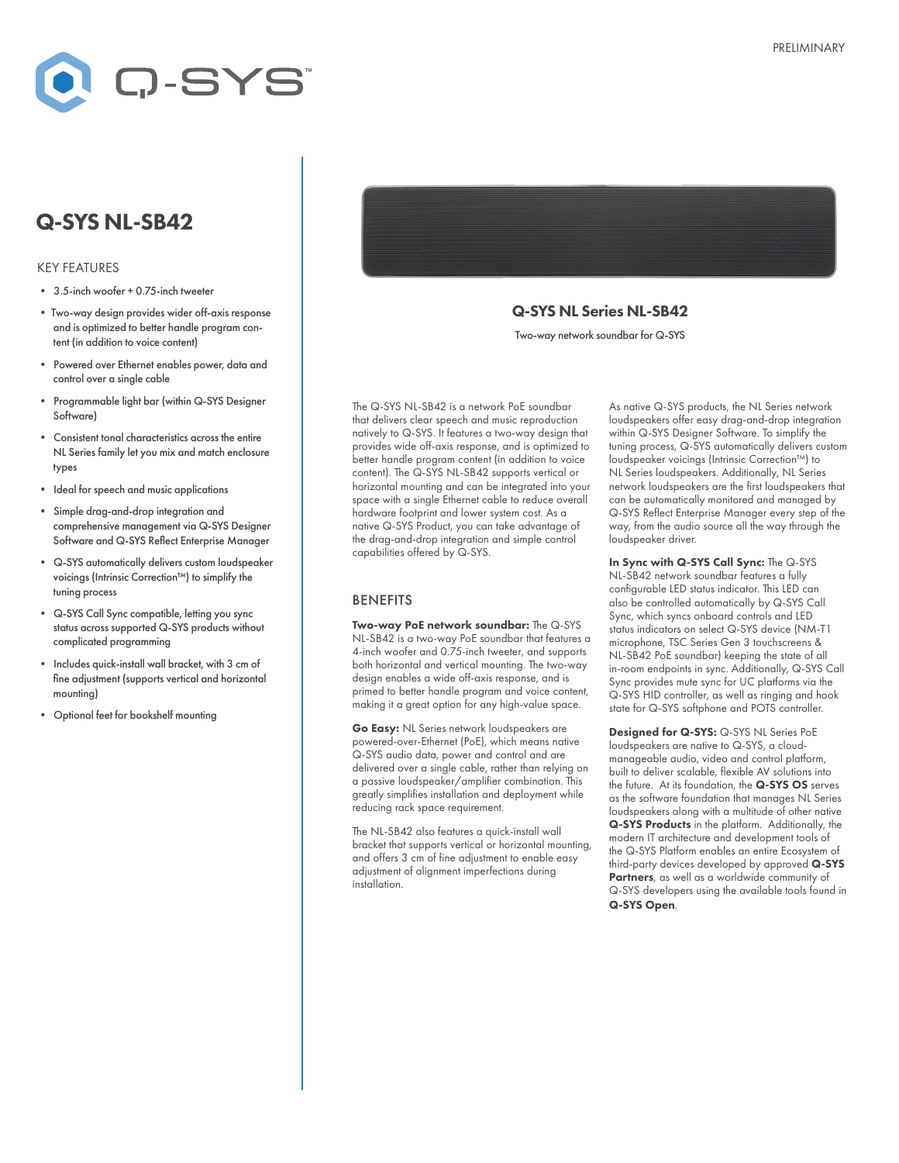

# Q-SYS NL-SB42

#### KEY FEATURES

- 3.5-inch woofer + 0.75-inch tweeter
- Two-way design provides wider off-axis response and is optimized to better handle program content (in addition to voice content)
- Powered over Ethernet enables power, data and control over a single cable
- Programmable light bar (within Q-SYS Designer Software)
- Consistent tonal characteristics across the entire NL Series family let you mix and match enclosure types
- Ideal for speech and music applications
- Simple drag-and-drop integration and comprehensive management via Q-SYS Designer Software and Q-SYS Reflect Enterprise Manager
- Q-SYS automatically delivers custom loudspeaker voicings (Intrinsic Correction™) to simplify the tuning process
- Q-SYS Call Sync compatible, letting you sync status across supported Q-SYS products without complicated programming
- Includes quick-install wall bracket, with 3 cm of fine adjustment (supports vertical and horizontal mounting)
- Optional feet for bookshelf mounting

Q-SYS NL Series NL-SB42 Two-way network soundbar for Q-SYS

The Q-SYS NL-SB42 is a network PoE soundbar that delivers clear speech and music reproduction natively to Q-SYS. It features a two-way design that provides wide off-axis response, and is optimized to better handle program content (in addition to voice content). The Q-SYS NL-SB42 supports vertical or horizontal mounting and can be integrated into your space with a single Ethernet cable to reduce overall hardware footprint and lower system cost. As a native Q-SYS Product, you can take advantage of the drag-and-drop integration and simple control capabilities offered by Q-SYS.

#### BENEFITS

Two-way PoE network soundbar: The Q-SYS NL-SB42 is a two-way PoE soundbar that features a 4-inch woofer and 0.75-inch tweeter, and supports both horizontal and vertical mounting. The two-way design enables a wide off-axis response, and is primed to better handle program and voice content, making it a great option for any high-value space.

Go Easy: NL Series network loudspeakers are powered-over-Ethernet (PoE), which means native Q-SYS audio data, power and control and are delivered over a single cable, rather than relying on a passive loudspeaker/amplifier combination. This greatly simplifies installation and deployment while reducing rack space requirement.

The NL-SB42 also features a quick-install wall bracket that supports vertical or horizontal mounting, and offers 3 cm of fine adjustment to enable easy adjustment of alignment imperfections during installation.

As native Q-SYS products, the NL Series network loudspeakers offer easy drag-and-drop integration within Q-SYS Designer Software. To simplify the tuning process, Q-SYS automatically delivers custom loudspeaker voicings (Intrinsic Correction™) to NL Series loudspeakers. Additionally, NL Series network loudspeakers are the first loudspeakers that can be automatically monitored and managed by Q-SYS Reflect Enterprise Manager every step of the way, from the audio source all the way through the loudspeaker driver.

In Sync with Q-SYS Call Sync: The Q-SYS NL-SB42 network soundbar features a fully configurable LED status indicator. This LED can also be controlled automatically by Q-SYS Call Sync, which syncs onboard controls and LED status indicators on select Q-SYS device (NM-T1 microphone, TSC Series Gen 3 touchscreens & NL-SB42 PoE soundbar) keeping the state of all in-room endpoints in sync. Additionally, Q-SYS Call Sync provides mute sync for UC platforms via the Q-SYS HID controller, as well as ringing and hook state for Q-SYS softphone and POTS controller.

Designed for Q-SYS: Q-SYS NL Series PoE loudspeakers are native to Q-SYS, a cloudmanageable audio, video and control platform, built to deliver scalable, flexible AV solutions into the future. At its foundation, the Q-SYS OS serves as the software foundation that manages NL Series loudspeakers along with a multitude of other native Q-SYS Products in the platform. Additionally, the modern IT architecture and development tools of the Q-SYS Platform enables an entire Ecosystem of third-party devices developed by approved Q-SYS Partners, as well as a worldwide community of Q-SYS developers using the available tools found in Q-SYS Open.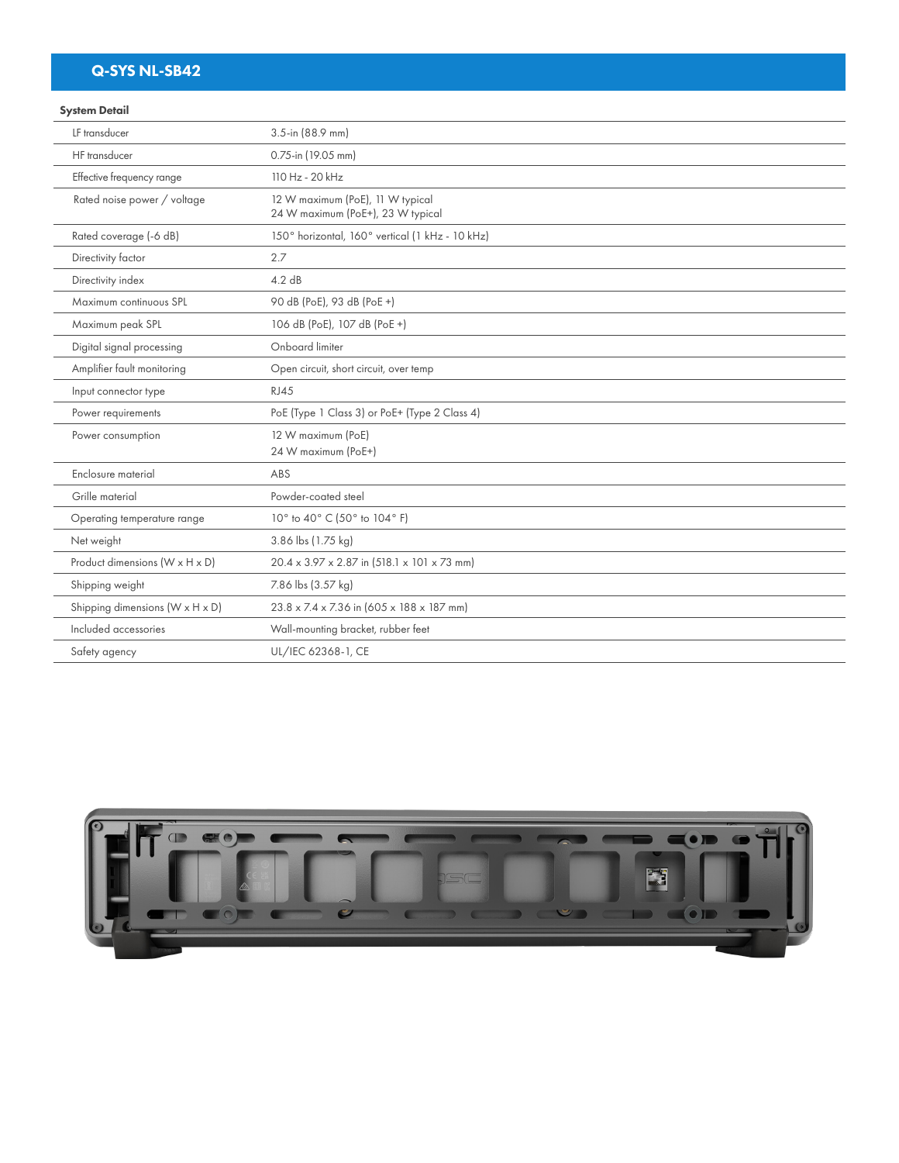# Q-SYS NL-SB42

### System Detail

| LF transducer                   | 3.5-in (88.9 mm)                                                      |
|---------------------------------|-----------------------------------------------------------------------|
| HF transducer                   | 0.75-in (19.05 mm)                                                    |
| Effective frequency range       | 110 Hz - 20 kHz                                                       |
| Rated noise power / voltage     | 12 W maximum (PoE), 11 W typical<br>24 W maximum (PoE+), 23 W typical |
| Rated coverage (-6 dB)          | 150° horizontal, 160° vertical (1 kHz - 10 kHz)                       |
| Directivity factor              | 2.7                                                                   |
| Directivity index               | 4.2 dB                                                                |
| Maximum continuous SPL          | 90 dB (PoE), 93 dB (PoE +)                                            |
| Maximum peak SPL                | 106 dB (PoE), 107 dB (PoE +)                                          |
| Digital signal processing       | Onboard limiter                                                       |
| Amplifier fault monitoring      | Open circuit, short circuit, over temp                                |
| Input connector type            | <b>RJ45</b>                                                           |
| Power requirements              | PoE (Type 1 Class 3) or PoE+ (Type 2 Class 4)                         |
| Power consumption               | 12 W maximum (PoE)<br>24 W maximum (PoE+)                             |
| Enclosure material              | ABS                                                                   |
| Grille material                 | Powder-coated steel                                                   |
| Operating temperature range     | 10° to 40° C (50° to 104° F)                                          |
| Net weight                      | 3.86 lbs (1.75 kg)                                                    |
| Product dimensions (W x H x D)  | 20.4 x 3.97 x 2.87 in (518.1 x 101 x 73 mm)                           |
| Shipping weight                 | 7.86 lbs (3.57 kg)                                                    |
| Shipping dimensions (W x H x D) | 23.8 x 7.4 x 7.36 in (605 x 188 x 187 mm)                             |
| Included accessories            | Wall-mounting bracket, rubber feet                                    |
| Safety agency                   | UL/IEC 62368-1, CE                                                    |